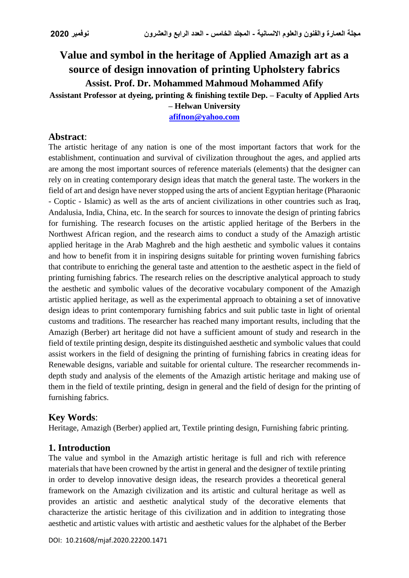# **Value and symbol in the heritage of Applied Amazigh art as a source of design innovation of printing Upholstery fabrics Assist. Prof. Dr. Mohammed Mahmoud Mohammed Afify Assistant Professor at dyeing, printing & finishing textile Dep. – Faculty of Applied Arts – Helwan University**

**[afifnon@yahoo.com](mailto:afifnon@yahoo.com)**

## **Abstract**:

The artistic heritage of any nation is one of the most important factors that work for the establishment, continuation and survival of civilization throughout the ages, and applied arts are among the most important sources of reference materials (elements) that the designer can rely on in creating contemporary design ideas that match the general taste. The workers in the field of art and design have never stopped using the arts of ancient Egyptian heritage (Pharaonic - Coptic - Islamic) as well as the arts of ancient civilizations in other countries such as Iraq, Andalusia, India, China, etc. In the search for sources to innovate the design of printing fabrics for furnishing. The research focuses on the artistic applied heritage of the Berbers in the Northwest African region, and the research aims to conduct a study of the Amazigh artistic applied heritage in the Arab Maghreb and the high aesthetic and symbolic values it contains and how to benefit from it in inspiring designs suitable for printing woven furnishing fabrics that contribute to enriching the general taste and attention to the aesthetic aspect in the field of printing furnishing fabrics. The research relies on the descriptive analytical approach to study the aesthetic and symbolic values of the decorative vocabulary component of the Amazigh artistic applied heritage, as well as the experimental approach to obtaining a set of innovative design ideas to print contemporary furnishing fabrics and suit public taste in light of oriental customs and traditions. The researcher has reached many important results, including that the Amazigh (Berber) art heritage did not have a sufficient amount of study and research in the field of textile printing design, despite its distinguished aesthetic and symbolic values that could assist workers in the field of designing the printing of furnishing fabrics in creating ideas for Renewable designs, variable and suitable for oriental culture. The researcher recommends indepth study and analysis of the elements of the Amazigh artistic heritage and making use of them in the field of textile printing, design in general and the field of design for the printing of furnishing fabrics.

### **Key Words**:

Heritage, Amazigh (Berber) applied art, Textile printing design, Furnishing fabric printing.

## **1. Introduction**

The value and symbol in the Amazigh artistic heritage is full and rich with reference materials that have been crowned by the artist in general and the designer of textile printing in order to develop innovative design ideas, the research provides a theoretical general framework on the Amazigh civilization and its artistic and cultural heritage as well as provides an artistic and aesthetic analytical study of the decorative elements that characterize the artistic heritage of this civilization and in addition to integrating those aesthetic and artistic values with artistic and aesthetic values for the alphabet of the Berber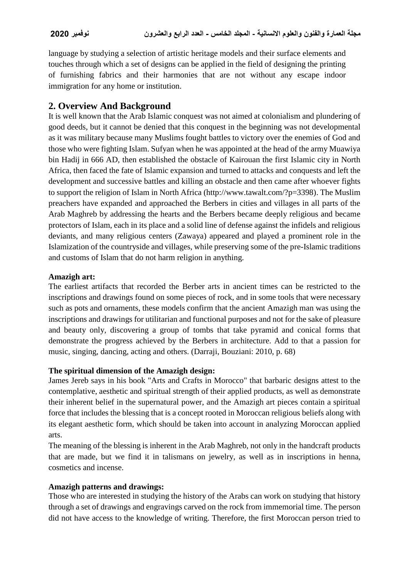language by studying a selection of artistic heritage models and their surface elements and touches through which a set of designs can be applied in the field of designing the printing of furnishing fabrics and their harmonies that are not without any escape indoor immigration for any home or institution.

## **2. Overview And Background**

It is well known that the Arab Islamic conquest was not aimed at colonialism and plundering of good deeds, but it cannot be denied that this conquest in the beginning was not developmental as it was military because many Muslims fought battles to victory over the enemies of God and those who were fighting Islam. Sufyan when he was appointed at the head of the army Muawiya bin Hadij in 666 AD, then established the obstacle of Kairouan the first Islamic city in North Africa, then faced the fate of Islamic expansion and turned to attacks and conquests and left the development and successive battles and killing an obstacle and then came after whoever fights to support the religion of Islam in North Africa (http://www.tawalt.com/?p=3398). The Muslim preachers have expanded and approached the Berbers in cities and villages in all parts of the Arab Maghreb by addressing the hearts and the Berbers became deeply religious and became protectors of Islam, each in its place and a solid line of defense against the infidels and religious deviants, and many religious centers (Zawaya) appeared and played a prominent role in the Islamization of the countryside and villages, while preserving some of the pre-Islamic traditions and customs of Islam that do not harm religion in anything.

### **Amazigh art:**

The earliest artifacts that recorded the Berber arts in ancient times can be restricted to the inscriptions and drawings found on some pieces of rock, and in some tools that were necessary such as pots and ornaments, these models confirm that the ancient Amazigh man was using the inscriptions and drawings for utilitarian and functional purposes and not for the sake of pleasure and beauty only, discovering a group of tombs that take pyramid and conical forms that demonstrate the progress achieved by the Berbers in architecture. Add to that a passion for music, singing, dancing, acting and others. (Darraji, Bouziani: 2010, p. 68)

### **The spiritual dimension of the Amazigh design:**

James Jereb says in his book "Arts and Crafts in Morocco" that barbaric designs attest to the contemplative, aesthetic and spiritual strength of their applied products, as well as demonstrate their inherent belief in the supernatural power, and the Amazigh art pieces contain a spiritual force that includes the blessing that is a concept rooted in Moroccan religious beliefs along with its elegant aesthetic form, which should be taken into account in analyzing Moroccan applied arts.

The meaning of the blessing is inherent in the Arab Maghreb, not only in the handcraft products that are made, but we find it in talismans on jewelry, as well as in inscriptions in henna, cosmetics and incense.

### **Amazigh patterns and drawings:**

Those who are interested in studying the history of the Arabs can work on studying that history through a set of drawings and engravings carved on the rock from immemorial time. The person did not have access to the knowledge of writing. Therefore, the first Moroccan person tried to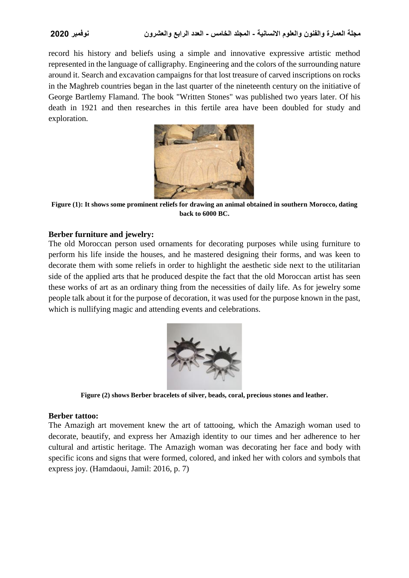record his history and beliefs using a simple and innovative expressive artistic method represented in the language of calligraphy. Engineering and the colors of the surrounding nature around it. Search and excavation campaigns for that lost treasure of carved inscriptions on rocks in the Maghreb countries began in the last quarter of the nineteenth century on the initiative of George Bartlemy Flamand. The book "Written Stones" was published two years later. Of his death in 1921 and then researches in this fertile area have been doubled for study and exploration.



**Figure (1): It shows some prominent reliefs for drawing an animal obtained in southern Morocco, dating back to 6000 BC.**

### **Berber furniture and jewelry:**

The old Moroccan person used ornaments for decorating purposes while using furniture to perform his life inside the houses, and he mastered designing their forms, and was keen to decorate them with some reliefs in order to highlight the aesthetic side next to the utilitarian side of the applied arts that he produced despite the fact that the old Moroccan artist has seen these works of art as an ordinary thing from the necessities of daily life. As for jewelry some people talk about it for the purpose of decoration, it was used for the purpose known in the past, which is nullifying magic and attending events and celebrations.



**Figure (2) shows Berber bracelets of silver, beads, coral, precious stones and leather.**

#### **Berber tattoo:**

The Amazigh art movement knew the art of tattooing, which the Amazigh woman used to decorate, beautify, and express her Amazigh identity to our times and her adherence to her cultural and artistic heritage. The Amazigh woman was decorating her face and body with specific icons and signs that were formed, colored, and inked her with colors and symbols that express joy. (Hamdaoui, Jamil: 2016, p. 7)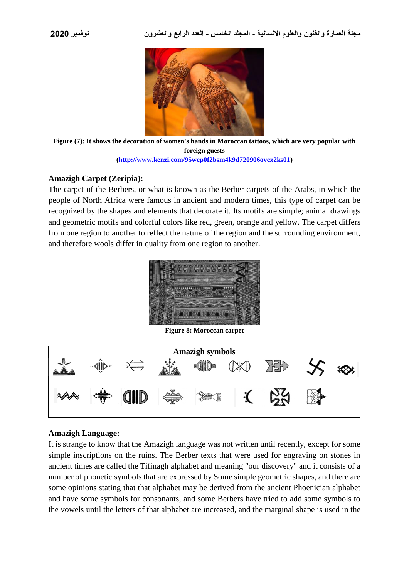

**Figure (7): It shows the decoration of women's hands in Moroccan tattoos, which are very popular with foreign guests [\(http://www.kenzi.com/95wep0f2bsm4k9d720906ovcx2ks01\)](http://www.kenzi.com/95wep0f2bsm4k9d720906ovcx2ks01)**

#### **Amazigh Carpet (Zeripia):**

The carpet of the Berbers, or what is known as the Berber carpets of the Arabs, in which the people of North Africa were famous in ancient and modern times, this type of carpet can be recognized by the shapes and elements that decorate it. Its motifs are simple; animal drawings and geometric motifs and colorful colors like red, green, orange and yellow. The carpet differs from one region to another to reflect the nature of the region and the surrounding environment, and therefore wools differ in quality from one region to another.



**Figure 8: Moroccan carpet**



#### **Amazigh Language:**

It is strange to know that the Amazigh language was not written until recently, except for some simple inscriptions on the ruins. The Berber texts that were used for engraving on stones in ancient times are called the Tifinagh alphabet and meaning "our discovery" and it consists of a number of phonetic symbols that are expressed by Some simple geometric shapes, and there are some opinions stating that that alphabet may be derived from the ancient Phoenician alphabet and have some symbols for consonants, and some Berbers have tried to add some symbols to the vowels until the letters of that alphabet are increased, and the marginal shape is used in the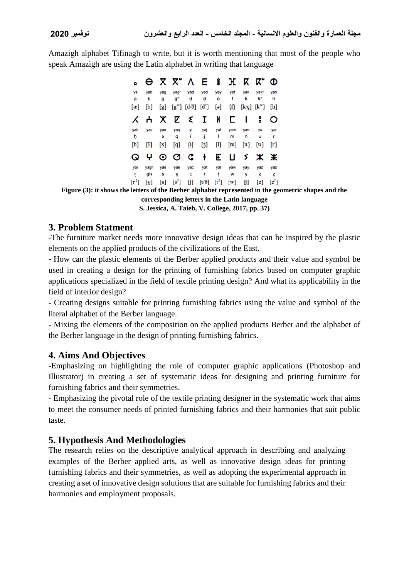Amazigh alphabet Tifinagh to write, but it is worth mentioning that most of the people who speak Amazigh are using the Latin alphabet in writing that language

|                |          |                              |            | $\Theta$ $\chi$ $\chi$ $\chi$ $\Lambda$ $\epsilon$ $\epsilon$ |                          |                                                                                                                                                              | $\mathbf{H}$                                                                                                                                                                 |          | K K"                       | Φ        |
|----------------|----------|------------------------------|------------|---------------------------------------------------------------|--------------------------|--------------------------------------------------------------------------------------------------------------------------------------------------------------|------------------------------------------------------------------------------------------------------------------------------------------------------------------------------|----------|----------------------------|----------|
| ya<br>а        | yab<br>b | yag<br>g                     | yag-<br>g" | yad<br>d                                                      | yad<br>d                 | yey<br>е                                                                                                                                                     | yaf<br>f                                                                                                                                                                     | yak<br>k | yak-<br>k"                 | yah<br>h |
| $[\mathbf{x}]$ | [b]      | $\lbrack \mathbf{g} \rbrack$ |            | $[g^{\mathrm{w}}]$ $[d/\eth]$ $[d^{\S}]$                      |                          | [9]                                                                                                                                                          | $[f] % \centering % {\includegraphics[width=0.9\textwidth]{images/Tr2.png}} \caption{The figure shows the results of the estimators in the left hand side.} \label{fig:Tr2}$ |          | $[k/q]$ $[k^{\mathrm{w}}]$ | [h]      |
| Χ              | ሐ        | ж                            |            | Σξ                                                            | $\mathbf{I}^-$           | И                                                                                                                                                            | с                                                                                                                                                                            |          |                            | O        |
| yah            | уас      | yax                          | yaq        | yi                                                            | yaj                      | yal                                                                                                                                                          | yam                                                                                                                                                                          | yan      | yu                         | yar      |
| ħ.             |          | x                            | q          |                                                               | j                        | ı                                                                                                                                                            | m                                                                                                                                                                            | n        | u                          | r        |
| [ħ]            | $^{[2]}$ | $\left[ \mathbf{x}\right]$   | [q]        | $[1]$                                                         | [3]                      | $[] \centering \includegraphics[width=0.47\textwidth]{Figures/PD1.png} \caption{The 3D (blue) and 4D (blue) are shown in Fig. \ref{fig:10}.} \label{fig:10}$ | [m]                                                                                                                                                                          | [n]      | [u]                        | [r]      |
| Q              | Ψ        |                              |            | $\circ$ $\circ$ $\circ$                                       | $+$                      | E.                                                                                                                                                           | Ц                                                                                                                                                                            |          | ን ≭                        | Ж        |
| yar            | yagh     | yas                          | yas        | yac                                                           | yat                      | yat                                                                                                                                                          | yaw                                                                                                                                                                          | yay      | yaz                        | yaz      |
| ŗ              | gh       | S                            | Ş          | с                                                             | t                        | t                                                                                                                                                            | w                                                                                                                                                                            | У        | z                          | Z.       |
| [rf]           | [x]      | [s]                          | $[s^s]$    | M                                                             | $\lceil t/\theta \rceil$ | $[t^s]$                                                                                                                                                      | [w]                                                                                                                                                                          | [j]      | [z]                        | $[z^s]$  |

**Figure (3): it shows the letters of the Berber alphabet represented in the geometric shapes and the** 

**corresponding letters in the Latin language**

**S. Jessica, A. Taieb, V. College, 2017, pp. 37)**

### **3. Problem Statment**

-The furniture market needs more innovative design ideas that can be inspired by the plastic elements on the applied products of the civilizations of the East.

- How can the plastic elements of the Berber applied products and their value and symbol be used in creating a design for the printing of furnishing fabrics based on computer graphic applications specialized in the field of textile printing design? And what its applicability in the field of interior design?

- Creating designs suitable for printing furnishing fabrics using the value and symbol of the literal alphabet of the Berber language.

- Mixing the elements of the composition on the applied products Berber and the alphabet of the Berber language in the design of printing furnishing fabrics.

## **4. Aims And Objectives**

-Emphasizing on highlighting the role of computer graphic applications (Photoshop and Illustrator) in creating a set of systematic ideas for designing and printing furniture for furnishing fabrics and their symmetries.

- Emphasizing the pivotal role of the textile printing designer in the systematic work that aims to meet the consumer needs of printed furnishing fabrics and their harmonies that suit public taste.

## **5. Hypothesis And Methodologies**

The research relies on the descriptive analytical approach in describing and analyzing examples of the Berber applied arts, as well as innovative design ideas for printing furnishing fabrics and their symmetries, as well as adopting the experimental approach in creating a set of innovative design solutions that are suitable for furnishing fabrics and their harmonies and employment proposals.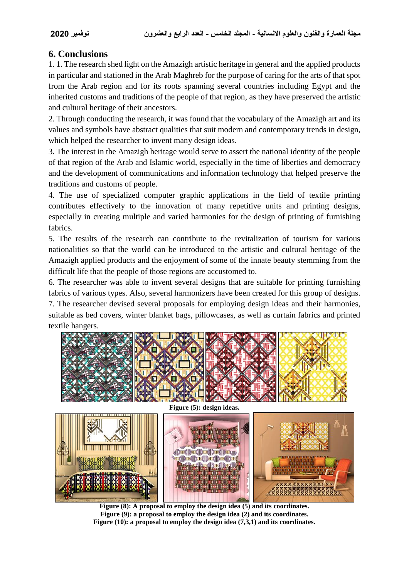## **6. Conclusions**

1. 1. The research shed light on the Amazigh artistic heritage in general and the applied products in particular and stationed in the Arab Maghreb for the purpose of caring for the arts of that spot from the Arab region and for its roots spanning several countries including Egypt and the inherited customs and traditions of the people of that region, as they have preserved the artistic and cultural heritage of their ancestors.

2. Through conducting the research, it was found that the vocabulary of the Amazigh art and its values and symbols have abstract qualities that suit modern and contemporary trends in design, which helped the researcher to invent many design ideas.

3. The interest in the Amazigh heritage would serve to assert the national identity of the people of that region of the Arab and Islamic world, especially in the time of liberties and democracy and the development of communications and information technology that helped preserve the traditions and customs of people.

4. The use of specialized computer graphic applications in the field of textile printing contributes effectively to the innovation of many repetitive units and printing designs, especially in creating multiple and varied harmonies for the design of printing of furnishing fabrics.

5. The results of the research can contribute to the revitalization of tourism for various nationalities so that the world can be introduced to the artistic and cultural heritage of the Amazigh applied products and the enjoyment of some of the innate beauty stemming from the difficult life that the people of those regions are accustomed to.

6. The researcher was able to invent several designs that are suitable for printing furnishing fabrics of various types. Also, several harmonizers have been created for this group of designs. 7. The researcher devised several proposals for employing design ideas and their harmonies, suitable as bed covers, winter blanket bags, pillowcases, as well as curtain fabrics and printed textile hangers.



**Figure (8): A proposal to employ the design idea (5) and its coordinates. Figure (9): a proposal to employ the design idea (2) and its coordinates. Figure (10): a proposal to employ the design idea (7,3,1) and its coordinates.**